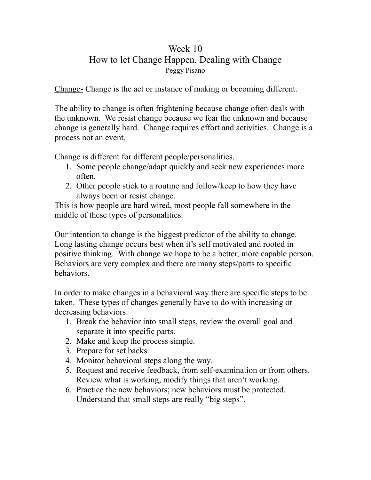## Week 10 How to let Change Happen, Dealing with Change Peggy Pisano

Change- Change is the act or instance of making or becoming different.

The ability to change is often frightening because change often deals with the unknown. We resist change because we fear the unknown and because change is generally hard. Change requires effort and activities. Change is a process not an event.

Change is different for different people/personalities.

- 1. Some people change/adapt quickly and seek new experiences more often.
- 2. Other people stick to a routine and follow/keep to how they have always been or resist change.

This is how people are hard wired, most people fall somewhere in the middle of these types of personalities.

Our intention to change is the biggest predictor of the ability to change. Long lasting change occurs best when it's self motivated and rooted in positive thinking. With change we hope to be a better, more capable person. Behaviors are very complex and there are many steps/parts to specific behaviors.

In order to make changes in a behavioral way there are specific steps to be taken. These types of changes generally have to do with increasing or decreasing behaviors.

- 1. Break the behavior into small steps, review the overall goal and separate it into specific parts.
- 2. Make and keep the process simple.
- 3. Prepare for set backs.
- 4. Monitor behavioral steps along the way.
- 5. Request and receive feedback, from self-examination or from others. Review what is working, modify things that aren't working.
- 6. Practice the new behaviors; new behaviors must be protected. Understand that small steps are really "big steps".